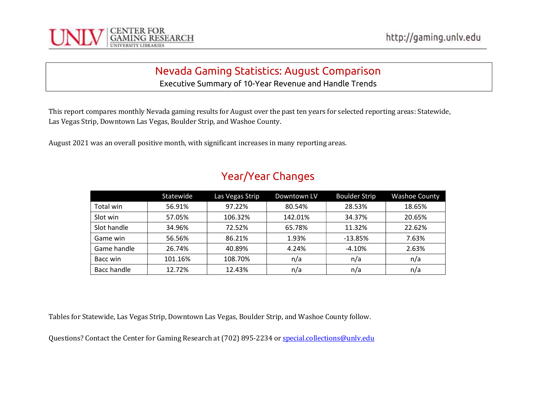

Executive Summary of 10-Year Revenue and Handle Trends

This report compares monthly Nevada gaming results for August over the past ten years for selected reporting areas: Statewide, Las Vegas Strip, Downtown Las Vegas, Boulder Strip, and Washoe County.

August 2021 was an overall positive month, with significant increases in many reporting areas.

|             | Statewide | Las Vegas Strip | Downtown LV | <b>Boulder Strip</b> | <b>Washoe County</b> |
|-------------|-----------|-----------------|-------------|----------------------|----------------------|
| Total win   | 56.91%    | 97.22%          | 80.54%      | 28.53%               | 18.65%               |
| Slot win    | 57.05%    | 106.32%         | 142.01%     | 34.37%               | 20.65%               |
| Slot handle | 34.96%    | 72.52%          | 65.78%      | 11.32%               | 22.62%               |
| Game win    | 56.56%    | 86.21%          | 1.93%       | $-13.85%$            | 7.63%                |
| Game handle | 26.74%    | 40.89%          | 4.24%       | $-4.10%$             | 2.63%                |
| Bacc win    | 101.16%   | 108.70%         | n/a         | n/a                  | n/a                  |
| Bacc handle | 12.72%    | 12.43%          | n/a         | n/a                  | n/a                  |

## Year/Year Changes

Tables for Statewide, Las Vegas Strip, Downtown Las Vegas, Boulder Strip, and Washoe County follow.

Questions? Contact the Center for Gaming Research at (702) 895-2234 or special.collections@unly.edu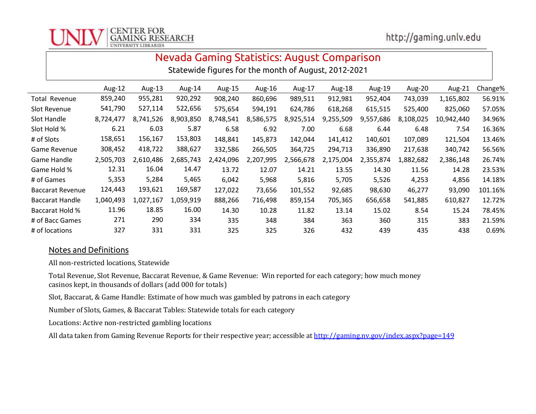

Statewide figures for the month of August, 2012-2021

|                         | Aug-12    | Aug-13    | Aug-14    | Aug-15    | Aug-16    | Aug-17    | Aug-18    | Aug-19    | Aug-20    | Aug-21     | Change% |
|-------------------------|-----------|-----------|-----------|-----------|-----------|-----------|-----------|-----------|-----------|------------|---------|
| Total Revenue           | 859,240   | 955,281   | 920,292   | 908,240   | 860,696   | 989,511   | 912,981   | 952,404   | 743,039   | 1,165,802  | 56.91%  |
| Slot Revenue            | 541,790   | 527,114   | 522,656   | 575,654   | 594,191   | 624,786   | 618,268   | 615,515   | 525,400   | 825,060    | 57.05%  |
| Slot Handle             | 8,724,477 | 8,741,526 | 8,903,850 | 8,748,541 | 8,586,575 | 8,925,514 | 9,255,509 | 9,557,686 | 8,108,025 | 10,942,440 | 34.96%  |
| Slot Hold %             | 6.21      | 6.03      | 5.87      | 6.58      | 6.92      | 7.00      | 6.68      | 6.44      | 6.48      | 7.54       | 16.36%  |
| # of Slots              | 158,651   | 156,167   | 153,803   | 148,841   | 145,873   | 142,044   | 141,412   | 140,601   | 107,089   | 121,504    | 13.46%  |
| <b>Game Revenue</b>     | 308,452   | 418,722   | 388,627   | 332,586   | 266,505   | 364,725   | 294,713   | 336,890   | 217,638   | 340,742    | 56.56%  |
| Game Handle             | 2,505,703 | 2,610,486 | 2,685,743 | 2,424,096 | 2,207,995 | 2,566,678 | 2,175,004 | 2,355,874 | 1,882,682 | 2,386,148  | 26.74%  |
| Game Hold %             | 12.31     | 16.04     | 14.47     | 13.72     | 12.07     | 14.21     | 13.55     | 14.30     | 11.56     | 14.28      | 23.53%  |
| # of Games              | 5,353     | 5,284     | 5,465     | 6,042     | 5,968     | 5,816     | 5,705     | 5,526     | 4,253     | 4,856      | 14.18%  |
| <b>Baccarat Revenue</b> | 124,443   | 193,621   | 169,587   | 127,022   | 73,656    | 101,552   | 92,685    | 98,630    | 46,277    | 93,090     | 101.16% |
| <b>Baccarat Handle</b>  | 1,040,493 | L,027,167 | 1,059,919 | 888,266   | 716,498   | 859,154   | 705,365   | 656,658   | 541,885   | 610,827    | 12.72%  |
| Baccarat Hold %         | 11.96     | 18.85     | 16.00     | 14.30     | 10.28     | 11.82     | 13.14     | 15.02     | 8.54      | 15.24      | 78.45%  |
| # of Bacc Games         | 271       | 290       | 334       | 335       | 348       | 384       | 363       | 360       | 315       | 383        | 21.59%  |
| # of locations          | 327       | 331       | 331       | 325       | 325       | 326       | 432       | 439       | 435       | 438        | 0.69%   |

#### Notes and Definitions

All non-restricted locations, Statewide

Total Revenue, Slot Revenue, Baccarat Revenue, & Game Revenue: Win reported for each category; how much money casinos kept, in thousands of dollars (add 000 for totals)

Slot, Baccarat, & Game Handle: Estimate of how much was gambled by patrons in each category

Number of Slots, Games, & Baccarat Tables: Statewide totals for each category

Locations: Active non-restricted gambling locations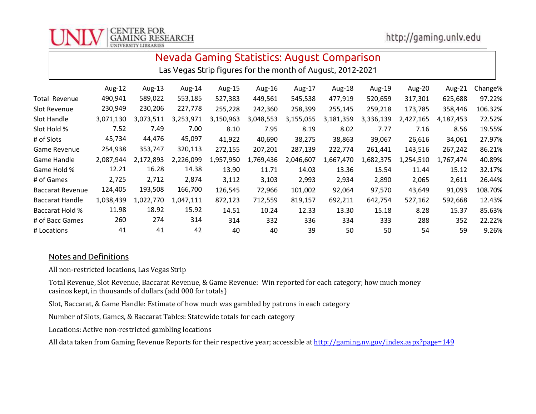

Las Vegas Strip figures for the month of August, 2012-2021

|                         | Aug-12    | Aug-13    | Aug-14    | Aug-15    | Aug-16    | Aug-17    | Aug-18    | Aug-19    | Aug-20    | Aug-21    | Change% |
|-------------------------|-----------|-----------|-----------|-----------|-----------|-----------|-----------|-----------|-----------|-----------|---------|
| <b>Total Revenue</b>    | 490,941   | 589,022   | 553,185   | 527,383   | 449,561   | 545,538   | 477,919   | 520,659   | 317,301   | 625,688   | 97.22%  |
| Slot Revenue            | 230,949   | 230,206   | 227,778   | 255,228   | 242,360   | 258,399   | 255,145   | 259,218   | 173,785   | 358,446   | 106.32% |
| Slot Handle             | 3,071,130 | 3.073.511 | 3,253,971 | 3,150,963 | 3,048,553 | 3,155,055 | 3,181,359 | 3,336,139 | 2.427.165 | 4.187.453 | 72.52%  |
| Slot Hold %             | 7.52      | 7.49      | 7.00      | 8.10      | 7.95      | 8.19      | 8.02      | 7.77      | 7.16      | 8.56      | 19.55%  |
| # of Slots              | 45,734    | 44,476    | 45,097    | 41,922    | 40,690    | 38,275    | 38,863    | 39,067    | 26,616    | 34,061    | 27.97%  |
| Game Revenue            | 254,938   | 353,747   | 320,113   | 272,155   | 207,201   | 287,139   | 222,774   | 261,441   | 143,516   | 267,242   | 86.21%  |
| Game Handle             | 2,087,944 | 2,172,893 | 2,226,099 | 1,957,950 | 1,769,436 | 2,046,607 | 1,667,470 | 1,682,375 | 1,254,510 | 1,767,474 | 40.89%  |
| Game Hold %             | 12.21     | 16.28     | 14.38     | 13.90     | 11.71     | 14.03     | 13.36     | 15.54     | 11.44     | 15.12     | 32.17%  |
| # of Games              | 2,725     | 2,712     | 2,874     | 3,112     | 3,103     | 2,993     | 2,934     | 2,890     | 2,065     | 2,611     | 26.44%  |
| <b>Baccarat Revenue</b> | 124,405   | 193,508   | 166,700   | 126,545   | 72,966    | 101,002   | 92,064    | 97,570    | 43,649    | 91,093    | 108.70% |
| <b>Baccarat Handle</b>  | 1,038,439 | 1,022,770 | 1,047,111 | 872,123   | 712,559   | 819,157   | 692,211   | 642,754   | 527,162   | 592,668   | 12.43%  |
| <b>Baccarat Hold %</b>  | 11.98     | 18.92     | 15.92     | 14.51     | 10.24     | 12.33     | 13.30     | 15.18     | 8.28      | 15.37     | 85.63%  |
| # of Bacc Games         | 260       | 274       | 314       | 314       | 332       | 336       | 334       | 333       | 288       | 352       | 22.22%  |
| # Locations             | 41        | 41        | 42        | 40        | 40        | 39        | 50        | 50        | 54        | 59        | 9.26%   |

### Notes and Definitions

All non-restricted locations, Las Vegas Strip

Total Revenue, Slot Revenue, Baccarat Revenue, & Game Revenue: Win reported for each category; how much money casinos kept, in thousands of dollars (add 000 for totals)

Slot, Baccarat, & Game Handle: Estimate of how much was gambled by patrons in each category

Number of Slots, Games, & Baccarat Tables: Statewide totals for each category

Locations: Active non-restricted gambling locations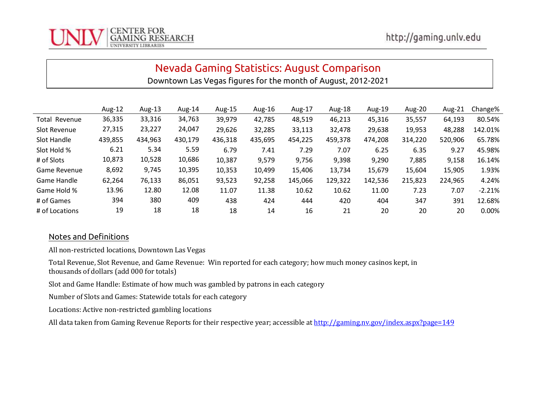

Downtown Las Vegas figures for the month of August, 2012-2021

|                | Aug-12  | Aug-13  | Aug-14  | Aug-15  | Aug-16  | Aug-17  | Aug-18  | Aug-19  | Aug-20  | Aug-21  | Change%  |
|----------------|---------|---------|---------|---------|---------|---------|---------|---------|---------|---------|----------|
| Total Revenue  | 36,335  | 33,316  | 34,763  | 39,979  | 42,785  | 48,519  | 46,213  | 45,316  | 35,557  | 64,193  | 80.54%   |
| Slot Revenue   | 27,315  | 23,227  | 24,047  | 29,626  | 32,285  | 33,113  | 32,478  | 29,638  | 19,953  | 48,288  | 142.01%  |
| Slot Handle    | 439,855 | 434,963 | 430,179 | 436,318 | 435,695 | 454,225 | 459,378 | 474,208 | 314,220 | 520,906 | 65.78%   |
| Slot Hold %    | 6.21    | 5.34    | 5.59    | 6.79    | 7.41    | 7.29    | 7.07    | 6.25    | 6.35    | 9.27    | 45.98%   |
| # of Slots     | 10,873  | 10,528  | 10,686  | 10,387  | 9,579   | 9,756   | 9,398   | 9,290   | 7,885   | 9,158   | 16.14%   |
| Game Revenue   | 8,692   | 9,745   | 10,395  | 10,353  | 10,499  | 15,406  | 13,734  | 15,679  | 15,604  | 15,905  | 1.93%    |
| Game Handle    | 62,264  | 76,133  | 86,051  | 93,523  | 92,258  | 145,066 | 129,322 | 142,536 | 215,823 | 224,965 | 4.24%    |
| Game Hold %    | 13.96   | 12.80   | 12.08   | 11.07   | 11.38   | 10.62   | 10.62   | 11.00   | 7.23    | 7.07    | $-2.21%$ |
| # of Games     | 394     | 380     | 409     | 438     | 424     | 444     | 420     | 404     | 347     | 391     | 12.68%   |
| # of Locations | 19      | 18      | 18      | 18      | 14      | 16      | 21      | 20      | 20      | 20      | 0.00%    |

### Notes and Definitions

All non-restricted locations, Downtown Las Vegas

Total Revenue, Slot Revenue, and Game Revenue: Win reported for each category; how much money casinos kept, in thousands of dollars (add 000 for totals)

Slot and Game Handle: Estimate of how much was gambled by patrons in each category

Number of Slots and Games: Statewide totals for each category

Locations: Active non-restricted gambling locations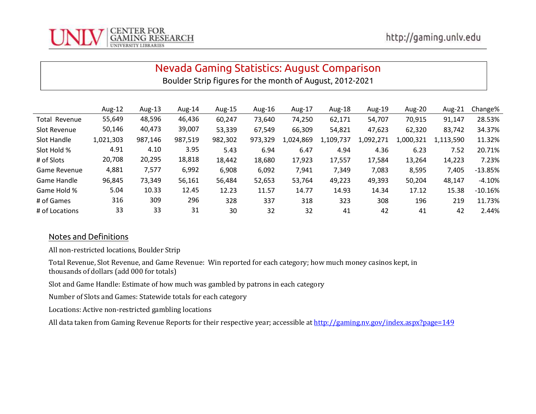

Boulder Strip figures for the month of August, 2012-2021

|                      | Aug-12    | Aug-13  | Aug-14  | Aug-15  | Aug-16  | Aug-17    | Aug-18    | Aug-19    | Aug-20    | Aug-21    | Change%   |
|----------------------|-----------|---------|---------|---------|---------|-----------|-----------|-----------|-----------|-----------|-----------|
| <b>Total Revenue</b> | 55,649    | 48,596  | 46,436  | 60,247  | 73,640  | 74,250    | 62,171    | 54,707    | 70,915    | 91,147    | 28.53%    |
| Slot Revenue         | 50,146    | 40,473  | 39,007  | 53,339  | 67,549  | 66,309    | 54,821    | 47,623    | 62,320    | 83,742    | 34.37%    |
| Slot Handle          | 1,021,303 | 987,146 | 987,519 | 982,302 | 973,329 | L,024,869 | 1,109,737 | 1,092,271 | 1,000,321 | 1,113,590 | 11.32%    |
| Slot Hold %          | 4.91      | 4.10    | 3.95    | 5.43    | 6.94    | 6.47      | 4.94      | 4.36      | 6.23      | 7.52      | 20.71%    |
| # of Slots           | 20,708    | 20,295  | 18,818  | 18,442  | 18,680  | 17,923    | 17,557    | 17,584    | 13,264    | 14,223    | 7.23%     |
| <b>Game Revenue</b>  | 4,881     | 7,577   | 6,992   | 6,908   | 6,092   | 7,941     | 7,349     | 7,083     | 8,595     | 7,405     | $-13.85%$ |
| Game Handle          | 96,845    | 73,349  | 56,161  | 56,484  | 52,653  | 53,764    | 49,223    | 49,393    | 50,204    | 48,147    | -4.10%    |
| Game Hold %          | 5.04      | 10.33   | 12.45   | 12.23   | 11.57   | 14.77     | 14.93     | 14.34     | 17.12     | 15.38     | $-10.16%$ |
| # of Games           | 316       | 309     | 296     | 328     | 337     | 318       | 323       | 308       | 196       | 219       | 11.73%    |
| # of Locations       | 33        | 33      | 31      | 30      | 32      | 32        | 41        | 42        | 41        | 42        | 2.44%     |

### Notes and Definitions

All non-restricted locations, Boulder Strip

Total Revenue, Slot Revenue, and Game Revenue: Win reported for each category; how much money casinos kept, in thousands of dollars (add 000 for totals)

Slot and Game Handle: Estimate of how much was gambled by patrons in each category

Number of Slots and Games: Statewide totals for each category

Locations: Active non-restricted gambling locations